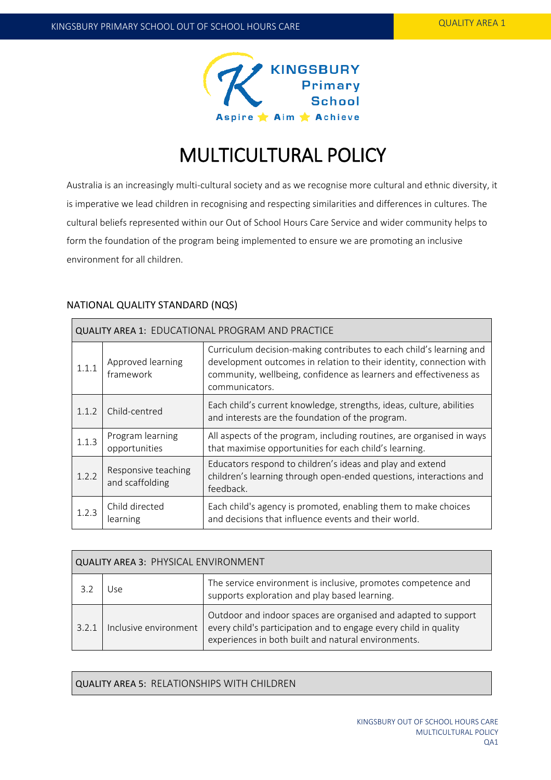

# MULTICULTURAL POLICY

Australia is an increasingly multi-cultural society and as we recognise more cultural and ethnic diversity, it is imperative we lead children in recognising and respecting similarities and differences in cultures. The cultural beliefs represented within our Out of School Hours Care Service and wider community helps to form the foundation of the program being implemented to ensure we are promoting an inclusive environment for all children.

# NATIONAL QUALITY STANDARD (NQS)

| <b>QUALITY AREA 1: EDUCATIONAL PROGRAM AND PRACTICE</b> |                                        |                                                                                                                                                                                                                                   |  |
|---------------------------------------------------------|----------------------------------------|-----------------------------------------------------------------------------------------------------------------------------------------------------------------------------------------------------------------------------------|--|
| 1.1.1                                                   | Approved learning<br>framework         | Curriculum decision-making contributes to each child's learning and<br>development outcomes in relation to their identity, connection with<br>community, wellbeing, confidence as learners and effectiveness as<br>communicators. |  |
| 1.1.2                                                   | Child-centred                          | Each child's current knowledge, strengths, ideas, culture, abilities<br>and interests are the foundation of the program.                                                                                                          |  |
| 1.1.3                                                   | Program learning<br>opportunities      | All aspects of the program, including routines, are organised in ways<br>that maximise opportunities for each child's learning.                                                                                                   |  |
| 1.2.2                                                   | Responsive teaching<br>and scaffolding | Educators respond to children's ideas and play and extend<br>children's learning through open-ended questions, interactions and<br>feedback.                                                                                      |  |
| 1.2.3                                                   | Child directed<br>learning             | Each child's agency is promoted, enabling them to make choices<br>and decisions that influence events and their world.                                                                                                            |  |

| <b>QUALITY AREA 3: PHYSICAL ENVIRONMENT</b> |                       |                                                                                                                                                                                           |  |
|---------------------------------------------|-----------------------|-------------------------------------------------------------------------------------------------------------------------------------------------------------------------------------------|--|
|                                             | ۱۲۴                   | The service environment is inclusive, promotes competence and<br>supports exploration and play based learning.                                                                            |  |
| 3.2.1                                       | Inclusive environment | Outdoor and indoor spaces are organised and adapted to support<br>every child's participation and to engage every child in quality<br>experiences in both built and natural environments. |  |

QUALITY AREA 5: RELATIONSHIPS WITH CHILDREN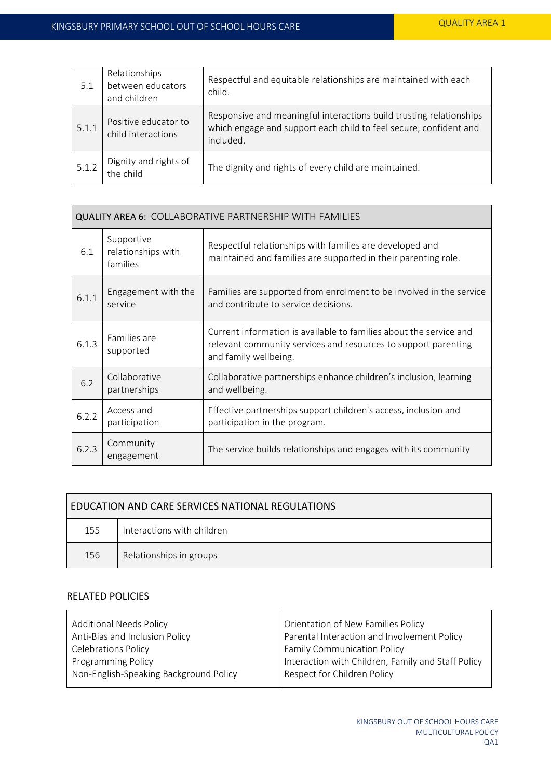| 5.1   | Relationships<br>between educators<br>and children | Respectful and equitable relationships are maintained with each<br>child.                                                                             |
|-------|----------------------------------------------------|-------------------------------------------------------------------------------------------------------------------------------------------------------|
| 5.1.1 | Positive educator to<br>child interactions         | Responsive and meaningful interactions build trusting relationships<br>which engage and support each child to feel secure, confident and<br>included. |
| 5.1.2 | Dignity and rights of<br>the child                 | The dignity and rights of every child are maintained.                                                                                                 |

| <b>QUALITY AREA 6: COLLABORATIVE PARTNERSHIP WITH FAMILIES</b> |                                              |                                                                                                                                                               |  |
|----------------------------------------------------------------|----------------------------------------------|---------------------------------------------------------------------------------------------------------------------------------------------------------------|--|
| 6.1                                                            | Supportive<br>relationships with<br>families | Respectful relationships with families are developed and<br>maintained and families are supported in their parenting role.                                    |  |
| 6.1.1                                                          | Engagement with the<br>service               | Families are supported from enrolment to be involved in the service<br>and contribute to service decisions.                                                   |  |
| 6.1.3                                                          | Families are<br>supported                    | Current information is available to families about the service and<br>relevant community services and resources to support parenting<br>and family wellbeing. |  |
| 6.2                                                            | Collaborative<br>partnerships                | Collaborative partnerships enhance children's inclusion, learning<br>and wellbeing.                                                                           |  |
| 6.2.2                                                          | Access and<br>participation                  | Effective partnerships support children's access, inclusion and<br>participation in the program.                                                              |  |
| 6.2.3                                                          | Community<br>engagement                      | The service builds relationships and engages with its community                                                                                               |  |

| EDUCATION AND CARE SERVICES NATIONAL REGULATIONS |                            |  |  |
|--------------------------------------------------|----------------------------|--|--|
| 155                                              | Interactions with children |  |  |
| 156                                              | Relationships in groups    |  |  |

# RELATED POLICIES

| <b>Additional Needs Policy</b>         | Orientation of New Families Policy                 |  |
|----------------------------------------|----------------------------------------------------|--|
| Anti-Bias and Inclusion Policy         | Parental Interaction and Involvement Policy        |  |
| <b>Celebrations Policy</b>             | <b>Family Communication Policy</b>                 |  |
| <b>Programming Policy</b>              | Interaction with Children, Family and Staff Policy |  |
| Non-English-Speaking Background Policy | Respect for Children Policy                        |  |
|                                        |                                                    |  |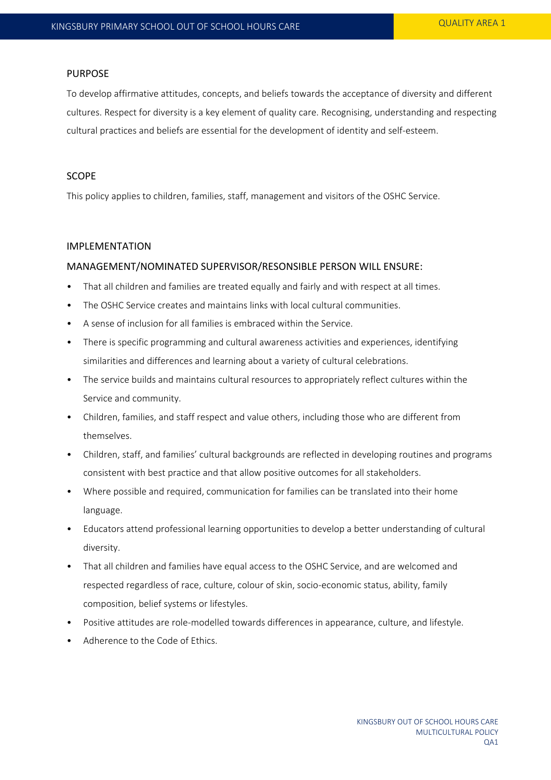# PURPOSE

To develop affirmative attitudes, concepts, and beliefs towards the acceptance of diversity and different cultures. Respect for diversity is a key element of quality care. Recognising, understanding and respecting cultural practices and beliefs are essential for the development of identity and self-esteem.

# SCOPE

This policy applies to children, families, staff, management and visitors of the OSHC Service.

#### IMPLEMENTATION

## MANAGEMENT/NOMINATED SUPERVISOR/RESONSIBLE PERSON WILL ENSURE:

- That all children and families are treated equally and fairly and with respect at all times.
- The OSHC Service creates and maintains links with local cultural communities.
- A sense of inclusion for all families is embraced within the Service.
- There is specific programming and cultural awareness activities and experiences, identifying similarities and differences and learning about a variety of cultural celebrations.
- The service builds and maintains cultural resources to appropriately reflect cultures within the Service and community.
- Children, families, and staff respect and value others, including those who are different from themselves.
- Children, staff, and families' cultural backgrounds are reflected in developing routines and programs consistent with best practice and that allow positive outcomes for all stakeholders.
- Where possible and required, communication for families can be translated into their home language.
- Educators attend professional learning opportunities to develop a better understanding of cultural diversity.
- That all children and families have equal access to the OSHC Service, and are welcomed and respected regardless of race, culture, colour of skin, socio-economic status, ability, family composition, belief systems or lifestyles.
- Positive attitudes are role-modelled towards differences in appearance, culture, and lifestyle.
- Adherence to the Code of Ethics.